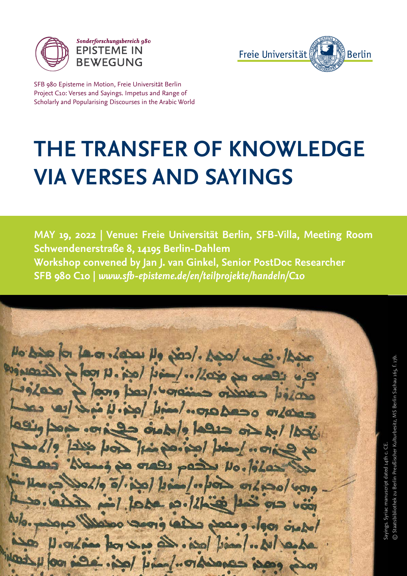

Sonderforschungsbereich 980 **EPISTEME IN BEWEGUNG** 



© Staatsbibliothek zu Berlin Preußischer Kulturbesitz, MS Berlin Sachau 165, f. 17b.

© Staatsbibliothek zu Berlin Preußischer Kulturbesitz, MS Berlin Sachau 165, f. 17b

SFB 980 Episteme in Motion, Freie Universität Berlin Project C10: Verses and Sayings. Impetus and Range of Scholarly and Popularising Discourses in the Arabic World

## **THE TRANSFER OF KNOWLEDGE VIA VERSES AND SAYINGS**

**MAY 19, 2022 | Venue: Freie Universität Berlin, SFB-Villa, Meeting Room Schwendenerstraße 8, 14195 Berlin-Dahlem Workshop convened by Jan J. van Ginkel, Senior PostDoc Researcher SFB 980 C10 |** *www.sfb-episteme.de/en/teilprojekte/handeln/C10*

No bis for la or less No jos/. Appl me ills ano or opollo. laid lopi. 4 roof of leconique possible caration considers the crash wind bind. open cand love lasig box.c. يخط ابعده حنقط والعمدة حصة bois line loving low in for Sayings. Syriac manuscript dated 14th c. CE. نتا Sayings. Syriac manuscript dated 14th c. po viele part vo. lilas Sollo olive / bis / "por order of mil loha 10.12hier No. prisons Indico roof. each class cross odell W. .. / mail laci. Les est vot misso. U co Les posées concertion juind locs. sois 100 y 100